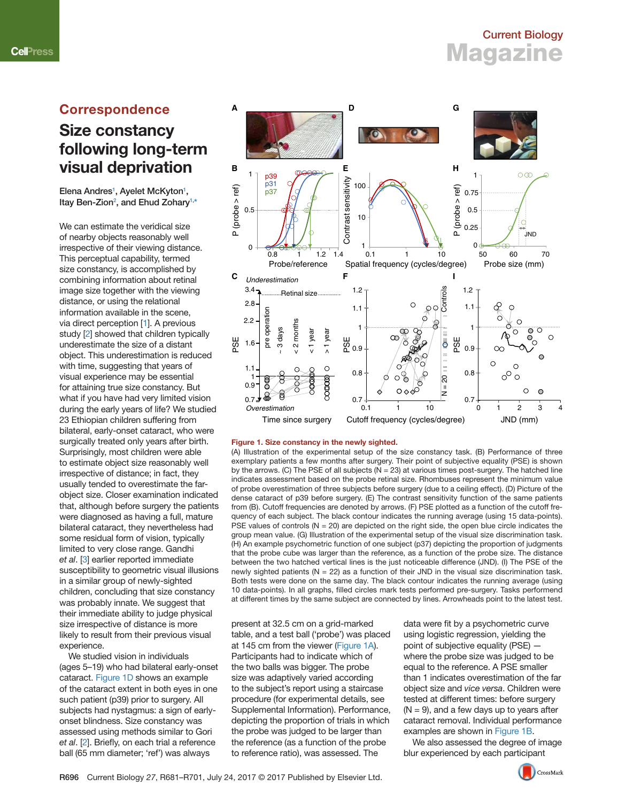### <span id="page-0-0"></span>**Correspondence**

## **Size constancy following long-term visual deprivation**

Elena Andres<sup>[1](#page-1-0)</sup>, Ayelet McKyton<sup>1</sup>, Itay Ben-Zion<sup>[2](#page-1-0)</sup>, and Ehud Zohary<sup>1,[\\*](#page-1-0)</sup>

We can estimate the veridical size of nearby objects reasonably well irrespective of their viewing distance. This perceptual capability, termed size constancy, is accomplished by combining information about retinal image size together with the viewing distance, or using the relational information available in the scene, via direct perception [[1](#page-1-0)]. A previous study <a>[\[2](#page-1-0)]</a> showed that children typically underestimate the size of a distant object. This underestimation is reduced with time, suggesting that years of visual experience may be essential for attaining true size constancy. But what if you have had very limited vision during the early years of life? We studied 23 Ethiopian children suffering from bilateral, early-onset cataract, who were surgically treated only years after birth. Surprisingly, most children were able to estimate object size reasonably well irrespective of distance; in fact, they usually tended to overestimate the farobject size. Closer examination indicated that, although before surgery the patients were diagnosed as having a full, mature bilateral cataract, they nevertheless had some residual form of vision, typically limited to very close range. Gandhi *et al*. [[3](#page-1-0)] earlier reported immediate susceptibility to geometric visual illusions in a similar group of newly-sighted children, concluding that size constancy was probably innate. We suggest that their immediate ability to judge physical size irrespective of distance is more likely to result from their previous visual experience.

We studied vision in individuals (ages 5–19) who had bilateral early-onset cataract. Figure 1D shows an example of the cataract extent in both eyes in one such patient (p39) prior to surgery. All subjects had nystagmus: a sign of earlyonset blindness. Size constancy was assessed using methods similar to Gori et al. [[2](#page-1-0)]. Briefly, on each trial a reference ball (65 mm diameter; 'ref') was always



### **Figure 1. Size constancy in the newly sighted.**

(A) Illustration of the experimental setup of the size constancy task. (B) Performance of three exemplary patients a few months after surgery. Their point of subjective equality (PSE) is shown by the arrows. (C) The PSE of all subjects ( $N = 23$ ) at various times post-surgery. The hatched line indicates assessment based on the probe retinal size. Rhombuses represent the minimum value of probe overestimation of three subjects before surgery (due to a ceiling effect). (D) Picture of the dense cataract of p39 before surgery. (E) The contrast sensitivity function of the same patients from (B). Cutoff frequencies are denoted by arrows. (F) PSE plotted as a function of the cutoff frequency of each subject. The black contour indicates the running average (using 15 data-points). PSE values of controls  $(N = 20)$  are depicted on the right side, the open blue circle indicates the group mean value. (G) Illustration of the experimental setup of the visual size discrimination task. (H) An example psychometric function of one subject (p37) depicting the proportion of judgments that the probe cube was larger than the reference, as a function of the probe size. The distance between the two hatched vertical lines is the just noticeable difference (JND). (I) The PSE of the newly sighted patients ( $N = 22$ ) as a function of their JND in the visual size discrimination task. Both tests were done on the same day. The black contour indicates the running average (using 10 data-points). In all graphs, fi lled circles mark tests performed pre-surgery. Tasks performend at different times by the same subject are connected by lines. Arrowheads point to the latest test.

present at 32.5 cm on a grid-marked table, and a test ball ('probe') was placed at 145 cm from the viewer (Figure 1A). Participants had to indicate which of the two balls was bigger. The probe size was adaptively varied according to the subject's report using a staircase procedure (for experimental details, see Supplemental Information). Performance, depicting the proportion of trials in which the probe was judged to be larger than the reference (as a function of the probe to reference ratio), was assessed. The

data were fit by a psychometric curve using logistic regression, yielding the point of subjective equality (PSE) where the probe size was judged to be equal to the reference. A PSE smaller than 1 indicates overestimation of the far object size and *vice versa*. Children were tested at different times: before surgery  $(N = 9)$ , and a few days up to years after cataract removal. Individual performance examples are shown in Figure 1B.

We also assessed the degree of image blur experienced by each participant